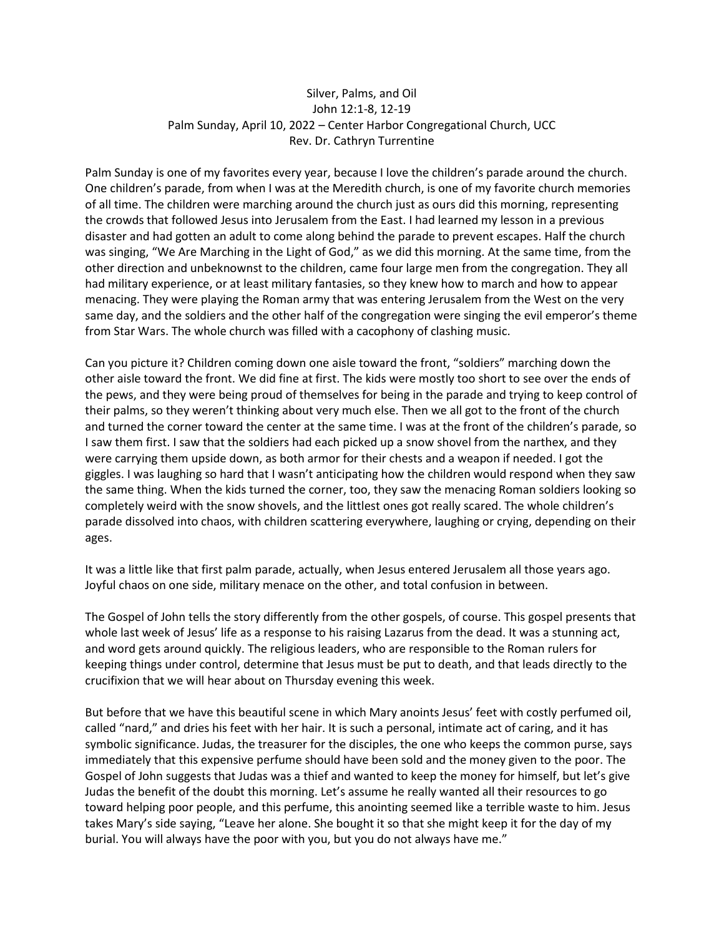## Silver, Palms, and Oil John 12:1-8, 12-19 Palm Sunday, April 10, 2022 – Center Harbor Congregational Church, UCC Rev. Dr. Cathryn Turrentine

Palm Sunday is one of my favorites every year, because I love the children's parade around the church. One children's parade, from when I was at the Meredith church, is one of my favorite church memories of all time. The children were marching around the church just as ours did this morning, representing the crowds that followed Jesus into Jerusalem from the East. I had learned my lesson in a previous disaster and had gotten an adult to come along behind the parade to prevent escapes. Half the church was singing, "We Are Marching in the Light of God," as we did this morning. At the same time, from the other direction and unbeknownst to the children, came four large men from the congregation. They all had military experience, or at least military fantasies, so they knew how to march and how to appear menacing. They were playing the Roman army that was entering Jerusalem from the West on the very same day, and the soldiers and the other half of the congregation were singing the evil emperor's theme from Star Wars. The whole church was filled with a cacophony of clashing music.

Can you picture it? Children coming down one aisle toward the front, "soldiers" marching down the other aisle toward the front. We did fine at first. The kids were mostly too short to see over the ends of the pews, and they were being proud of themselves for being in the parade and trying to keep control of their palms, so they weren't thinking about very much else. Then we all got to the front of the church and turned the corner toward the center at the same time. I was at the front of the children's parade, so I saw them first. I saw that the soldiers had each picked up a snow shovel from the narthex, and they were carrying them upside down, as both armor for their chests and a weapon if needed. I got the giggles. I was laughing so hard that I wasn't anticipating how the children would respond when they saw the same thing. When the kids turned the corner, too, they saw the menacing Roman soldiers looking so completely weird with the snow shovels, and the littlest ones got really scared. The whole children's parade dissolved into chaos, with children scattering everywhere, laughing or crying, depending on their ages.

It was a little like that first palm parade, actually, when Jesus entered Jerusalem all those years ago. Joyful chaos on one side, military menace on the other, and total confusion in between.

The Gospel of John tells the story differently from the other gospels, of course. This gospel presents that whole last week of Jesus' life as a response to his raising Lazarus from the dead. It was a stunning act, and word gets around quickly. The religious leaders, who are responsible to the Roman rulers for keeping things under control, determine that Jesus must be put to death, and that leads directly to the crucifixion that we will hear about on Thursday evening this week.

But before that we have this beautiful scene in which Mary anoints Jesus' feet with costly perfumed oil, called "nard," and dries his feet with her hair. It is such a personal, intimate act of caring, and it has symbolic significance. Judas, the treasurer for the disciples, the one who keeps the common purse, says immediately that this expensive perfume should have been sold and the money given to the poor. The Gospel of John suggests that Judas was a thief and wanted to keep the money for himself, but let's give Judas the benefit of the doubt this morning. Let's assume he really wanted all their resources to go toward helping poor people, and this perfume, this anointing seemed like a terrible waste to him. Jesus takes Mary's side saying, "Leave her alone. She bought it so that she might keep it for the day of my burial. You will always have the poor with you, but you do not always have me."